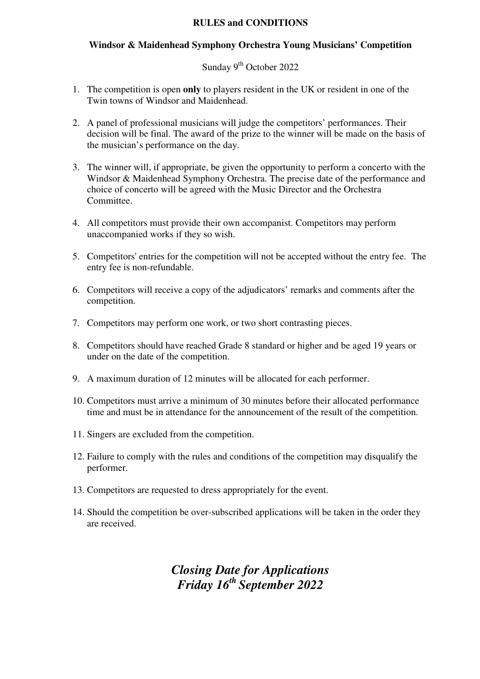### **RULES and CONDITIONS**

# **Windsor & Maidenhead Symphony Orchestra Young Musicians' Competition**

# Sunday  $9^{th}$  October 2022

- 1. The competition is open **only** to players resident in the UK or resident in one of the Twin towns of Windsor and Maidenhead.
- 2. A panel of professional musicians will judge the competitors' performances. Their decision will be final. The award of the prize to the winner will be made on the basis of the musician's performance on the day.
- 3. The winner will, if appropriate, be given the opportunity to perform a concerto with the Windsor & Maidenhead Symphony Orchestra. The precise date of the performance and choice of concerto will be agreed with the Music Director and the Orchestra Committee.
- 4. All competitors must provide their own accompanist. Competitors may perform unaccompanied works if they so wish.
- 5. Competitors' entries for the competition will not be accepted without the entry fee. The entry fee is non-refundable.
- 6. Competitors will receive a copy of the adjudicators' remarks and comments after the competition.
- 7. Competitors may perform one work, or two short contrasting pieces.
- 8. Competitors should have reached Grade 8 standard or higher and be aged 19 years or under on the date of the competition.
- 9. A maximum duration of 12 minutes will be allocated for each performer.
- 10. Competitors must arrive a minimum of 30 minutes before their allocated performance time and must be in attendance for the announcement of the result of the competition.
- 11. Singers are excluded from the competition.
- 12. Failure to comply with the rules and conditions of the competition may disqualify the performer.
- 13. Competitors are requested to dress appropriately for the event.
- 14. Should the competition be over-subscribed applications will be taken in the order they are received.

*Closing Date for Applications Friday 16th September 2022*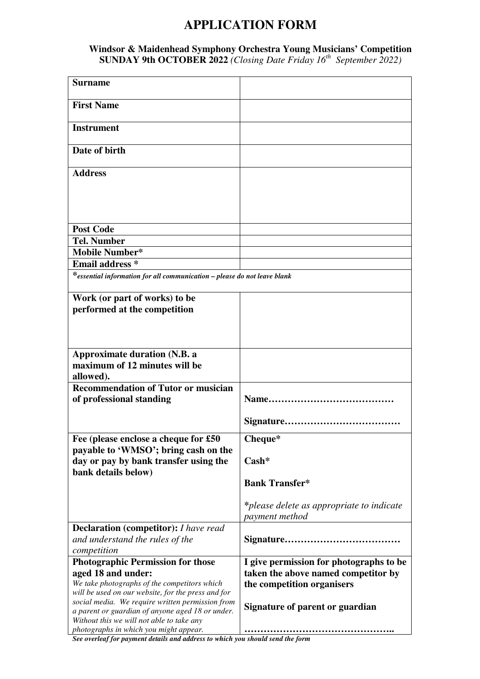# **APPLICATION FORM**

#### **Windsor & Maidenhead Symphony Orchestra Young Musicians' Competition SUNDAY 9th OCTOBER 2022** *(Closing Date Friday 16th September 2022)*

| <b>Surname</b>                                                                                |                                                                |
|-----------------------------------------------------------------------------------------------|----------------------------------------------------------------|
| <b>First Name</b>                                                                             |                                                                |
| <b>Instrument</b>                                                                             |                                                                |
| Date of birth                                                                                 |                                                                |
| <b>Address</b>                                                                                |                                                                |
|                                                                                               |                                                                |
| <b>Post Code</b>                                                                              |                                                                |
| <b>Tel. Number</b>                                                                            |                                                                |
|                                                                                               |                                                                |
| <b>Mobile Number*</b><br><b>Email address</b> *                                               |                                                                |
|                                                                                               |                                                                |
| *essential information for all communication - please do not leave blank                      |                                                                |
| Work (or part of works) to be                                                                 |                                                                |
| performed at the competition                                                                  |                                                                |
|                                                                                               |                                                                |
|                                                                                               |                                                                |
|                                                                                               |                                                                |
| Approximate duration (N.B. a                                                                  |                                                                |
| maximum of 12 minutes will be                                                                 |                                                                |
| allowed).                                                                                     |                                                                |
| <b>Recommendation of Tutor or musician</b>                                                    |                                                                |
| of professional standing                                                                      |                                                                |
|                                                                                               |                                                                |
| Fee (please enclose a cheque for £50                                                          | Cheque*                                                        |
| payable to 'WMSO'; bring cash on the                                                          |                                                                |
| day or pay by bank transfer using the<br>bank details below)                                  | $Cash*$                                                        |
|                                                                                               | <b>Bank Transfer*</b>                                          |
|                                                                                               | *please delete as appropriate to indicate                      |
|                                                                                               | payment method                                                 |
| <b>Declaration (competitor):</b> <i>I have read</i>                                           |                                                                |
| and understand the rules of the                                                               |                                                                |
| competition                                                                                   |                                                                |
| <b>Photographic Permission for those</b>                                                      | I give permission for photographs to be                        |
| aged 18 and under:                                                                            | taken the above named competitor by                            |
| We take photographs of the competitors which                                                  | the competition organisers                                     |
| will be used on our website, for the press and for                                            |                                                                |
| social media. We require written permission from                                              | Signature of parent or guardian                                |
| a parent or guardian of anyone aged 18 or under.<br>Without this we will not able to take any |                                                                |
| photographs in which you might appear.                                                        |                                                                |
|                                                                                               | $\overrightarrow{a}$ address to which you should send the form |

*See overleaf for payment details and address to which you should send the form*